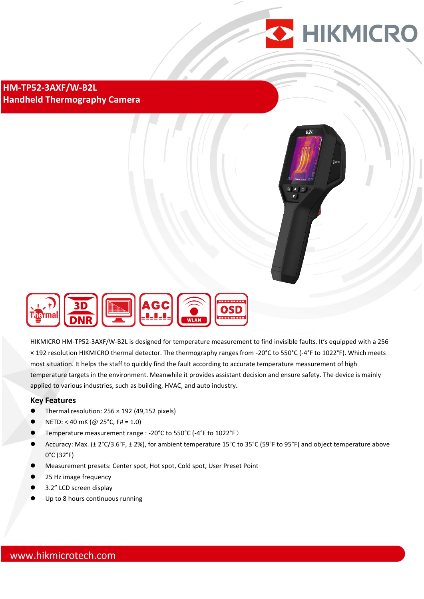

**HM-TP52-3AXF/W-B2L Handheld Thermography Camera**





HIKMICRO HM-TP52-3AXF/W-B2L is designed for temperature measurement to find invisible faults. It's equipped with a 256 × 192 resolution HIKMICRO thermal detector. The thermography ranges from -20°C to 550°C (-4°F to 1022°F). Which meets most situation. It helps the staff to quickly find the fault according to accurate temperature measurement of high temperature targets in the environment. Meanwhile it provides assistant decision and ensure safety. The device is mainly applied to various industries, such as building, HVAC, and auto industry.

#### **Key Features**

- Thermal resolution: 256 × 192 (49,152 pixels)
- NETD: < 40 mK (@ 25°C, F# = 1.0)
- Temperature measurement range : -20°C to 550°C (-4°F to 1022°F)
- Accuracy: Max. (± 2°C/3.6°F, ± 2%), for ambient temperature 15°C to 35°C (59°F to 95°F) and object temperature above 0°C (32°F)
- Measurement presets: Center spot, Hot spot, Cold spot, User Preset Point
- 25 Hz image frequency
- 3.2" LCD screen display
- Up to 8 hours continuous running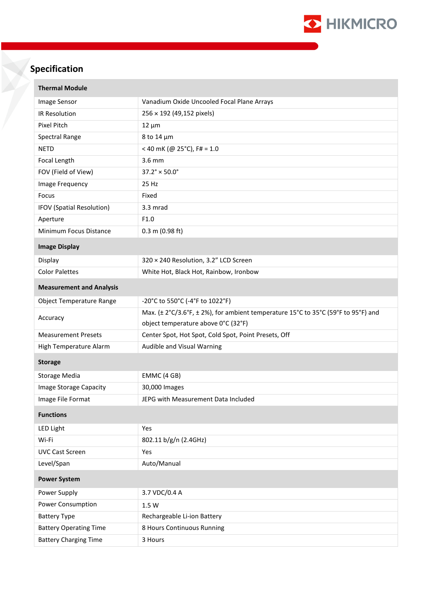

# **Specification**

| <b>Thermal Module</b>           |                                                                                   |
|---------------------------------|-----------------------------------------------------------------------------------|
| Image Sensor                    | Vanadium Oxide Uncooled Focal Plane Arrays                                        |
| IR Resolution                   | 256 × 192 (49,152 pixels)                                                         |
| <b>Pixel Pitch</b>              | $12 \mu m$                                                                        |
| Spectral Range                  | 8 to 14 µm                                                                        |
| <b>NETD</b>                     | < 40 mK (@ 25°C), F# = 1.0                                                        |
| Focal Length                    | 3.6 mm                                                                            |
| FOV (Field of View)             | $37.2^{\circ} \times 50.0^{\circ}$                                                |
| Image Frequency                 | 25 Hz                                                                             |
| Focus                           | Fixed                                                                             |
| IFOV (Spatial Resolution)       | 3.3 mrad                                                                          |
| Aperture                        | F1.0                                                                              |
| Minimum Focus Distance          | $0.3$ m (0.98 ft)                                                                 |
| <b>Image Display</b>            |                                                                                   |
| Display                         | 320 × 240 Resolution, 3.2" LCD Screen                                             |
| <b>Color Palettes</b>           | White Hot, Black Hot, Rainbow, Ironbow                                            |
| <b>Measurement and Analysis</b> |                                                                                   |
| <b>Object Temperature Range</b> | -20°C to 550°C (-4°F to 1022°F)                                                   |
| Accuracy                        | Max. (± 2°C/3.6°F, ± 2%), for ambient temperature 15°C to 35°C (59°F to 95°F) and |
|                                 | object temperature above 0°C (32°F)                                               |
| <b>Measurement Presets</b>      | Center Spot, Hot Spot, Cold Spot, Point Presets, Off                              |
| High Temperature Alarm          | Audible and Visual Warning                                                        |
| <b>Storage</b>                  |                                                                                   |
| Storage Media                   | EMMC (4 GB)                                                                       |
| Image Storage Capacity          | 30,000 Images                                                                     |
| Image File Format               | JEPG with Measurement Data Included                                               |
| <b>Functions</b>                |                                                                                   |
| <b>LED Light</b>                | Yes                                                                               |
| Wi-Fi                           | 802.11 b/g/n (2.4GHz)                                                             |
| <b>UVC Cast Screen</b>          | Yes                                                                               |
| Level/Span                      | Auto/Manual                                                                       |
| <b>Power System</b>             |                                                                                   |
| Power Supply                    | 3.7 VDC/0.4 A                                                                     |
| <b>Power Consumption</b>        | 1.5 W                                                                             |
| <b>Battery Type</b>             | Rechargeable Li-ion Battery                                                       |
| <b>Battery Operating Time</b>   | 8 Hours Continuous Running                                                        |
| <b>Battery Charging Time</b>    | 3 Hours                                                                           |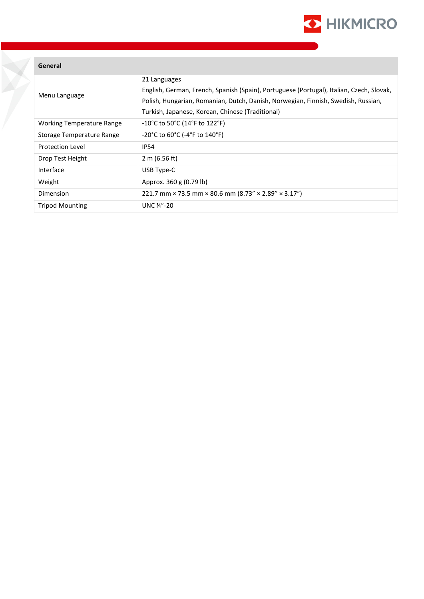

#### **General**

| Menu Language                    | 21 Languages<br>English, German, French, Spanish (Spain), Portuguese (Portugal), Italian, Czech, Slovak,<br>Polish, Hungarian, Romanian, Dutch, Danish, Norwegian, Finnish, Swedish, Russian,<br>Turkish, Japanese, Korean, Chinese (Traditional) |
|----------------------------------|---------------------------------------------------------------------------------------------------------------------------------------------------------------------------------------------------------------------------------------------------|
| <b>Working Temperature Range</b> | $-10^{\circ}$ C to 50 $^{\circ}$ C (14 $^{\circ}$ F to 122 $^{\circ}$ F)                                                                                                                                                                          |
| Storage Temperature Range        | $-20^{\circ}$ C to 60 $^{\circ}$ C (-4 $^{\circ}$ F to 140 $^{\circ}$ F)                                                                                                                                                                          |
| <b>Protection Level</b>          | <b>IP54</b>                                                                                                                                                                                                                                       |
| Drop Test Height                 | 2 m (6.56 ft)                                                                                                                                                                                                                                     |
| Interface                        | USB Type-C                                                                                                                                                                                                                                        |
| Weight                           | Approx. 360 g (0.79 lb)                                                                                                                                                                                                                           |
| Dimension                        | 221.7 mm $\times$ 73.5 mm $\times$ 80.6 mm (8.73" $\times$ 2.89" $\times$ 3.17")                                                                                                                                                                  |
| <b>Tripod Mounting</b>           | UNC $\frac{1}{4}$ -20                                                                                                                                                                                                                             |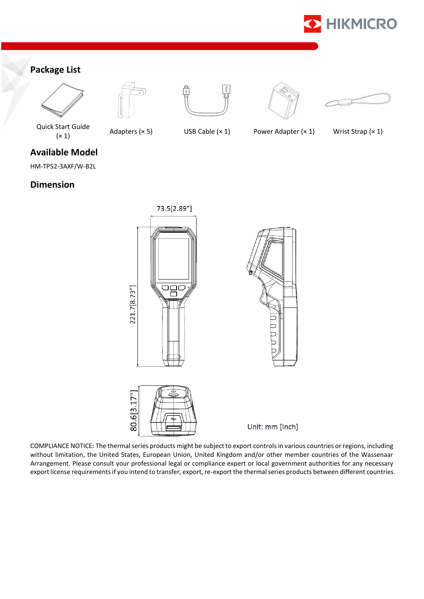

## **Package List**











Quick Start Guide

 $(x 1)$  Adapters (× 5) USB Cable (× 1) Power Adapter (× 1) Wrist Strap (× 1)

**Available Model**

HM-TP52-3AXF/W-B2L

### **Dimension**







Unit: mm [Inch]

COMPLIANCE NOTICE: The thermal series products might be subject to export controls in various countries or regions, including without limitation, the United States, European Union, United Kingdom and/or other member countries of the Wassenaar Arrangement. Please consult your professional legal or compliance expert or local government authorities for any necessary export license requirements if you intend to transfer, export, re-export the thermal series products between different countries.